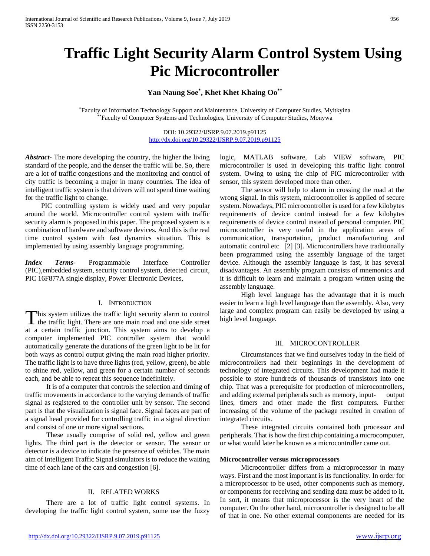# **Traffic Light Security Alarm Control System Using Pic Microcontroller**

## **Yan Naung Soe\* , Khet Khet Khaing Oo\*\***

\*Faculty of Information Technology Support and Maintenance, University of Computer Studies, Myitkyina \*\*Faculty of Computer Systems and Technologies, University of Computer Studies, Monywa

> DOI: 10.29322/IJSRP.9.07.2019.p91125 <http://dx.doi.org/10.29322/IJSRP.9.07.2019.p91125>

*Abstract***-** The more developing the country, the higher the living standard of the people, and the denser the traffic will be. So, there are a lot of traffic congestions and the monitoring and control of city traffic is becoming a major in many countries. The idea of intelligent traffic system is that drivers will not spend time waiting for the traffic light to change.

 PIC controlling system is widely used and very popular around the world. Microcontroller control system with traffic security alarm is proposed in this paper. The proposed system is a combination of hardware and software devices. And this is the real time control system with fast dynamics situation. This is implemented by using assembly language programming.

*Index Terms*- Programmable Interface Controller (PIC),embedded system, security control system, detected circuit, PIC 16F877A single display, Power Electronic Devices,

#### I. INTRODUCTION

This system utilizes the traffic light security alarm to control This system utilizes the traffic light security alarm to control<br>the traffic light. There are one main road and one side street at a certain traffic junction. This system aims to develop a computer implemented PIC controller system that would automatically generate the durations of the green light to be lit for both ways as control output giving the main road higher priority. The traffic light is to have three lights (red, yellow, green), be able to shine red, yellow, and green for a certain number of seconds each, and be able to repeat this sequence indefinitely.

 It is of a computer that controls the selection and timing of traffic movements in accordance to the varying demands of traffic signal as registered to the controller unit by sensor. The second part is that the visualization is signal face. Signal faces are part of a signal head provided for controlling traffic in a signal direction and consist of one or more signal sections.

 These usually comprise of solid red, yellow and green lights. The third part is the detector or sensor. The sensor or detector is a device to indicate the presence of vehicles. The main aim of Intelligent Traffic Signal simulators is to reduce the waiting time of each lane of the cars and congestion [6].

## II. RELATED WORKS

 There are a lot of traffic light control systems. In developing the traffic light control system, some use the fuzzy

logic, MATLAB software, Lab VIEW software, PIC microcontroller is used in developing this traffic light control system. Owing to using the chip of PIC microcontroller with sensor, this system developed more than other.

 The sensor will help to alarm in crossing the road at the wrong signal. In this system, microcontroller is applied of secure system. Nowadays, PIC microcontroller is used for a few kilobytes requirements of device control instead for a few kilobytes requirements of device control instead of personal computer. PIC microcontroller is very useful in the application areas of communication, transportation, product manufacturing and automatic control etc [2] [3]. Microcontrollers have traditionally been programmed using the assembly language of the target device. Although the assembly language is fast, it has several disadvantages. An assembly program consists of mnemonics and it is difficult to learn and maintain a program written using the assembly language.

 High level language has the advantage that it is much easier to learn a high level language than the assembly. Also, very large and complex program can easily be developed by using a high level language.

#### III. MICROCONTROLLER

 Circumstances that we find ourselves today in the field of microcontrollers had their beginnings in the development of technology of integrated circuits. This development had made it possible to store hundreds of thousands of transistors into one chip. That was a prerequisite for production of microcontrollers, and adding external peripherals such as memory, input- output lines, timers and other made the first computers. Further increasing of the volume of the package resulted in creation of integrated circuits.

 These integrated circuits contained both processor and peripherals. That is how the first chip containing a microcomputer, or what would later be known as a microcontroller came out.

#### **Microcontroller versus microprocessors**

 Microcontroller differs from a microprocessor in many ways. First and the most important is its functionality. In order for a microprocessor to be used, other components such as memory, or components for receiving and sending data must be added to it. In sort, it means that microprocessor is the very heart of the computer. On the other hand, microcontroller is designed to be all of that in one. No other external components are needed for its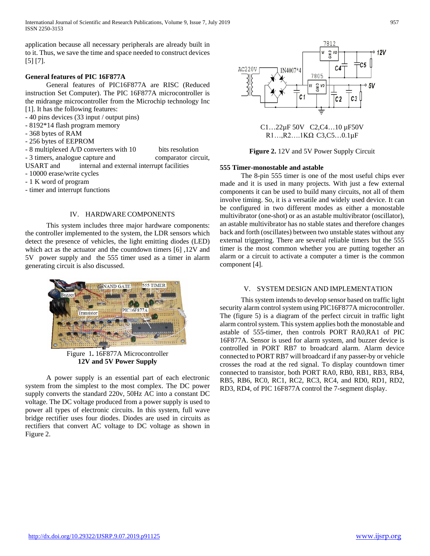International Journal of Scientific and Research Publications, Volume 9, Issue 7, July 2019 957 ISSN 2250-3153

application because all necessary peripherals are already built in to it. Thus, we save the time and space needed to construct devices [5] [7].

## **General features of PIC 16F877A**

 General features of PIC16F877A are RISC (Reduced instruction Set Computer). The PIC 16F877A microcontroller is the midrange microcontroller from the Microchip technology Inc [1]. It has the following features:

- 40 pins devices (33 input / output pins)
- 8192\*14 flash program memory
- 368 bytes of RAM
- 256 bytes of EEPROM

- 8 multiplexed A/D converters with 10 bits resolution

- 3 timers, analogue capture and comparator circuit,

USART and internal and external interrupt facilities

- 10000 erase/write cycles
- 1 K word of program
- timer and interrupt functions

### IV. HARDWARE COMPONENTS

 This system includes three major hardware components: the controller implemented to the system, the LDR sensors which detect the presence of vehicles, the light emitting diodes (LED) which act as the actuator and the countdown timers [6] ,12V and 5V power supply and the 555 timer used as a timer in alarm generating circuit is also discussed.



Figure 1**.** 16F877A Microcontroller **12V and 5V Power Supply**

 A power supply is an essential part of each electronic system from the simplest to the most complex. The DC power supply converts the standard 220v, 50Hz AC into a constant DC voltage. The DC voltage produced from a power supply is used to power all types of electronic circuits. In this system, full wave bridge rectifier uses four diodes. Diodes are used in circuits as rectifiers that convert AC voltage to DC voltage as shown in Figure 2.



C1…22µF 50V C2,C4…10 µF50V R1…,R2….1KΩ C3,C5…0.1µF

**Figure 2.** 12V and 5V Power Supply Circuit

#### **555 Timer-monostable and astable**

 The 8-pin 555 timer is one of the most useful chips ever made and it is used in many projects. With just a few external components it can be used to build many circuits, not all of them involve timing. So, it is a versatile and widely used device. It can be configured in two different modes as either a monostable multivibrator (one-shot) or as an astable multivibrator (oscillator), an astable multivibrator has no stable states and therefore changes back and forth (oscillates) between two unstable states without any external triggering. There are several reliable timers but the 555 timer is the most common whether you are putting together an alarm or a circuit to activate a computer a timer is the common component [4].

#### V. SYSTEM DESIGN AND IMPLEMENTATION

 This system intends to develop sensor based on traffic light security alarm control system using PIC16F877A microcontroller. The (figure 5) is a diagram of the perfect circuit in traffic light alarm control system. This system applies both the monostable and astable of 555-timer, then controls PORT RA0,RA1 of PIC 16F877A. Sensor is used for alarm system, and buzzer device is controlled in PORT RB7 to broadcard alarm. Alarm device connected to PORT RB7 will broadcard if any passer-by or vehicle crosses the road at the red signal. To display countdown timer connected to transistor, both PORT RA0, RB0, RB1, RB3, RB4, RB5, RB6, RC0, RC1, RC2, RC3, RC4, and RD0, RD1, RD2, RD3, RD4, of PIC 16F877A control the 7-segment display.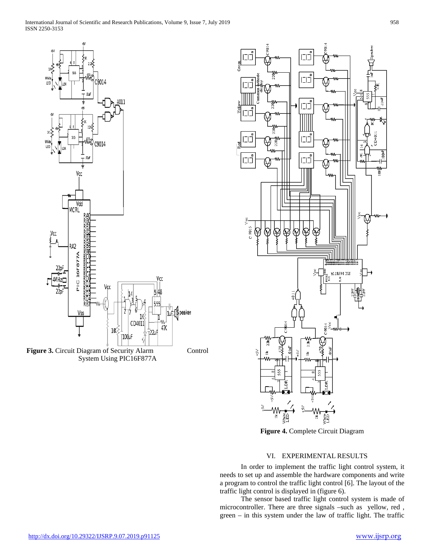





**Figure 4.** Complete Circuit Diagram

## VI. EXPERIMENTAL RESULTS

 In order to implement the traffic light control system, it needs to set up and assemble the hardware components and write a program to control the traffic light control [6]. The layout of the traffic light control is displayed in (figure 6).

 The sensor based traffic light control system is made of microcontroller. There are three signals –such as yellow, red , green – in this system under the law of traffic light. The traffic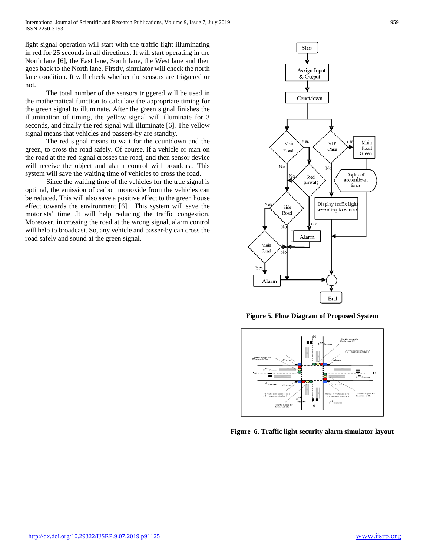International Journal of Scientific and Research Publications, Volume 9, Issue 7, July 2019 959 ISSN 2250-3153

light signal operation will start with the traffic light illuminating in red for 25 seconds in all directions. It will start operating in the North lane [6], the East lane, South lane, the West lane and then goes back to the North lane. Firstly, simulator will check the north lane condition. It will check whether the sensors are triggered or not.

 The total number of the sensors triggered will be used in the mathematical function to calculate the appropriate timing for the green signal to illuminate. After the green signal finishes the illumination of timing, the yellow signal will illuminate for 3 seconds, and finally the red signal will illuminate [6]. The yellow signal means that vehicles and passers-by are standby.

 The red signal means to wait for the countdown and the green, to cross the road safely. Of course, if a vehicle or man on the road at the red signal crosses the road, and then sensor device will receive the object and alarm control will broadcast. This system will save the waiting time of vehicles to cross the road.

 Since the waiting time of the vehicles for the true signal is optimal, the emission of carbon monoxide from the vehicles can be reduced. This will also save a positive effect to the green house effect towards the environment [6]. This system will save the motorists' time .It will help reducing the traffic congestion. Moreover, in crossing the road at the wrong signal, alarm control will help to broadcast. So, any vehicle and passer-by can cross the road safely and sound at the green signal.



**Figure 5. Flow Diagram of Proposed System**



**Figure 6. Traffic light security alarm simulator layout**